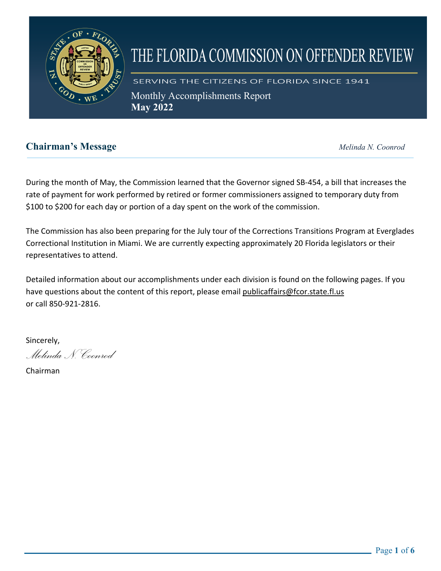

# THE FLORIDA COMMISSION ON OFFENDER REVIEW

SERVING THE CITIZENS OF FLORIDA SINCE 1941

Monthly Accomplishments Report **May 2022** 

## **Chairman's Message** *Melinda N. Coonrod*

During the month of May, the Commission learned that the Governor signed SB-454, a bill that increases the rate of payment for work performed by retired or former commissioners assigned to temporary duty from \$100 to \$200 for each day or portion of a day spent on the work of the commission.

The Commission has also been preparing for the July tour of the Corrections Transitions Program at Everglades Correctional Institution in Miami. We are currently expecting approximately 20 Florida legislators or their representatives to attend.

Detailed information about our accomplishments under each division is found on the following pages. If you have questions about the content of this report, please email publicaffairs@fcor.state.fl.us or call 850-921-2816.

Sincerely,

*Melinda N. Coonrod*

Chairman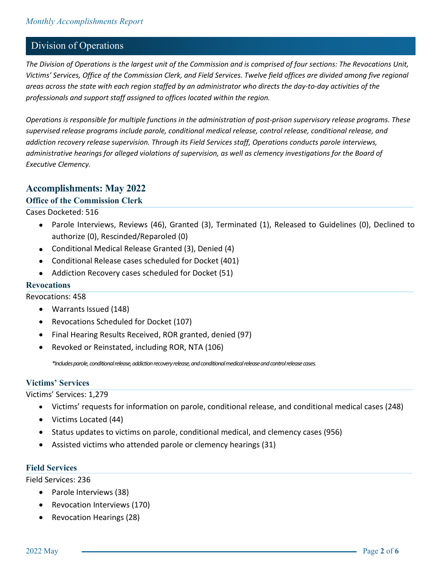## Division of Operations

*The Division of Operations is the largest unit of the Commission and is comprised of four sections: The Revocations Unit, Victims' Services, Office of the Commission Clerk, and Field Services. Twelve field offices are divided among five regional areas across the state with each region staffed by an administrator who directs the day-to-day activities of the professionals and support staff assigned to offices located within the region.*

*Operations is responsible for multiple functions in the administration of post-prison supervisory release programs. These supervised release programs include parole, conditional medical release, control release, conditional release, and addiction recovery release supervision. Through its Field Services staff, Operations conducts parole interviews, administrative hearings for alleged violations of supervision, as well as clemency investigations for the Board of Executive Clemency.*

## **Accomplishments: May 2022**

#### **Office of the Commission Clerk**

#### Cases Docketed: 516

- Parole Interviews, Reviews (46), Granted (3), Terminated (1), Released to Guidelines (0), Declined to authorize (0), Rescinded/Reparoled (0)
- Conditional Medical Release Granted (3), Denied (4)
- Conditional Release cases scheduled for Docket (401)
- Addiction Recovery cases scheduled for Docket (51)

#### **Revocations**

Revocations: 458

- Warrants Issued (148)
- Revocations Scheduled for Docket (107)
- Final Hearing Results Received, ROR granted, denied (97)
- Revoked or Reinstated, including ROR, NTA (106)

*\*Includes parole, conditional release, addiction recovery release, and conditional medical release and control release cases.*

#### **Victims' Services**

Victims' Services: 1,279

- Victims' requests for information on parole, conditional release, and conditional medical cases (248)
- Victims Located (44)
- Status updates to victims on parole, conditional medical, and clemency cases (956)
- Assisted victims who attended parole or clemency hearings (31)

#### **Field Services**

Field Services: 236

- Parole Interviews (38)
- Revocation Interviews (170)
- Revocation Hearings (28)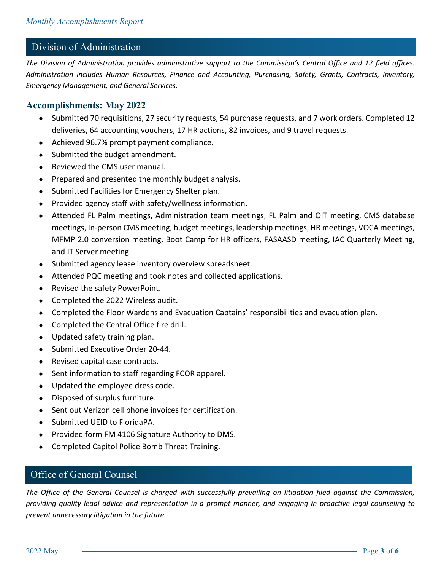## Division of Administration

*The Division of Administration provides administrative support to the Commission's Central Office and 12 field offices. Administration includes Human Resources, Finance and Accounting, Purchasing, Safety, Grants, Contracts, Inventory, Emergency Management, and General Services.* 

## **Accomplishments: May 2022**

- Submitted 70 requisitions, 27 security requests, 54 purchase requests, and 7 work orders. Completed 12 deliveries, 64 accounting vouchers, 17 HR actions, 82 invoices, and 9 travel requests.
- Achieved 96.7% prompt payment compliance.
- Submitted the budget amendment.
- Reviewed the CMS user manual.
- Prepared and presented the monthly budget analysis.
- Submitted Facilities for Emergency Shelter plan.
- Provided agency staff with safety/wellness information.
- Attended FL Palm meetings, Administration team meetings, FL Palm and OIT meeting, CMS database meetings, In-person CMS meeting, budget meetings, leadership meetings, HR meetings, VOCA meetings, MFMP 2.0 conversion meeting, Boot Camp for HR officers, FASAASD meeting, IAC Quarterly Meeting, and IT Server meeting.
- Submitted agency lease inventory overview spreadsheet.
- Attended PQC meeting and took notes and collected applications.
- Revised the safety PowerPoint.
- Completed the 2022 Wireless audit.
- Completed the Floor Wardens and Evacuation Captains' responsibilities and evacuation plan.
- Completed the Central Office fire drill.
- Updated safety training plan.
- Submitted Executive Order 20-44.
- Revised capital case contracts.
- Sent information to staff regarding FCOR apparel.
- Updated the employee dress code.
- Disposed of surplus furniture.
- Sent out Verizon cell phone invoices for certification.
- Submitted UEID to FloridaPA.
- Provided form FM 4106 Signature Authority to DMS.
- Completed Capitol Police Bomb Threat Training.

## Office of General Counsel

*The Office of the General Counsel is charged with successfully prevailing on litigation filed against the Commission, providing quality legal advice and representation in a prompt manner, and engaging in proactive legal counseling to prevent unnecessary litigation in the future.*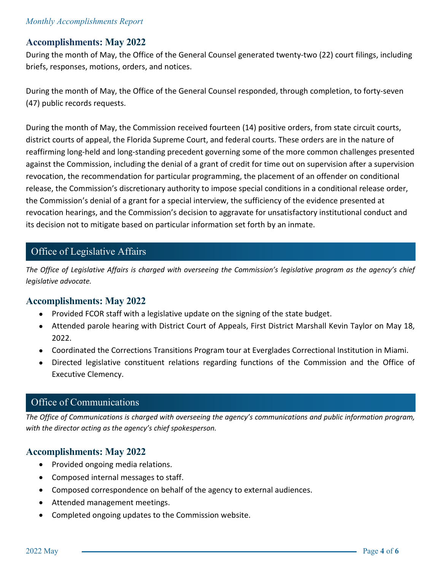#### *Monthly Accomplishments Report*

## **Accomplishments: May 2022**

During the month of May, the Office of the General Counsel generated twenty-two (22) court filings, including briefs, responses, motions, orders, and notices.

During the month of May, the Office of the General Counsel responded, through completion, to forty-seven (47) public records requests.

During the month of May, the Commission received fourteen (14) positive orders, from state circuit courts, district courts of appeal, the Florida Supreme Court, and federal courts. These orders are in the nature of reaffirming long-held and long-standing precedent governing some of the more common challenges presented against the Commission, including the denial of a grant of credit for time out on supervision after a supervision revocation, the recommendation for particular programming, the placement of an offender on conditional release, the Commission's discretionary authority to impose special conditions in a conditional release order, the Commission's denial of a grant for a special interview, the sufficiency of the evidence presented at revocation hearings, and the Commission's decision to aggravate for unsatisfactory institutional conduct and its decision not to mitigate based on particular information set forth by an inmate.

## Office of Legislative Affairs

*The Office of Legislative Affairs is charged with overseeing the Commission's legislative program as the agency's chief legislative advocate.* 

## **Accomplishments: May 2022**

- Provided FCOR staff with a legislative update on the signing of the state budget.
- Attended parole hearing with District Court of Appeals, First District Marshall Kevin Taylor on May 18, 2022.
- Coordinated the Corrections Transitions Program tour at Everglades Correctional Institution in Miami.
- Directed legislative constituent relations regarding functions of the Commission and the Office of Executive Clemency.

## **The Office of Communications is charged with overseeing the agency's communications and public informations and public informations and public informations and public informations and public information program.**

*The Office of Communications is charged with overseeing the agency's communications and public information program, with the director acting as the agency's chief spokesperson.*

## **Accomplishments: May 2022**

- Provided ongoing media relations.
- Composed internal messages to staff.
- Composed correspondence on behalf of the agency to external audiences.
- Attended management meetings.
- Completed ongoing updates to the Commission website.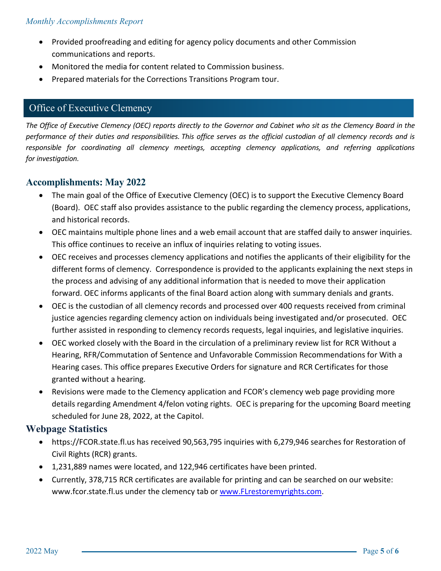- Provided proofreading and editing for agency policy documents and other Commission communications and reports.
- Monitored the media for content related to Commission business.
- Prepared materials for the Corrections Transitions Program tour.

## Office of Executive Clemency

*The Office of Executive Clemency (OEC) reports directly to the Governor and Cabinet who sit as the Clemency Board in the performance of their duties and responsibilities. This office serves as the official custodian of all clemency records and is responsible for coordinating all clemency meetings, accepting clemency applications, and referring applications for investigation.* 

#### **Accomplishments: May 2022**

- The main goal of the Office of Executive Clemency (OEC) is to support the Executive Clemency Board (Board). OEC staff also provides assistance to the public regarding the clemency process, applications, and historical records.
- OEC maintains multiple phone lines and a web email account that are staffed daily to answer inquiries. This office continues to receive an influx of inquiries relating to voting issues.
- OEC receives and processes clemency applications and notifies the applicants of their eligibility for the different forms of clemency. Correspondence is provided to the applicants explaining the next steps in the process and advising of any additional information that is needed to move their application forward. OEC informs applicants of the final Board action along with summary denials and grants.
- OEC is the custodian of all clemency records and processed over 400 requests received from criminal justice agencies regarding clemency action on individuals being investigated and/or prosecuted. OEC further assisted in responding to clemency records requests, legal inquiries, and legislative inquiries.
- OEC worked closely with the Board in the circulation of a preliminary review list for RCR Without a Hearing, RFR/Commutation of Sentence and Unfavorable Commission Recommendations for With a Hearing cases. This office prepares Executive Orders for signature and RCR Certificates for those granted without a hearing.
- Revisions were made to the Clemency application and FCOR's clemency web page providing more details regarding Amendment 4/felon voting rights. OEC is preparing for the upcoming Board meeting scheduled for June 28, 2022, at the Capitol.

## **Webpage Statistics**

- https://FCOR.state.fl.us has received 90,563,795 inquiries with 6,279,946 searches for Restoration of Civil Rights (RCR) grants.
- 1,231,889 names were located, and 122,946 certificates have been printed.
- Currently, 378,715 RCR certificates are available for printing and can be searched on our website: www.fcor.state.fl.us under the clemency tab or [www.FLrestoremyrights.com.](http://www.flrestoremyrights.com/)